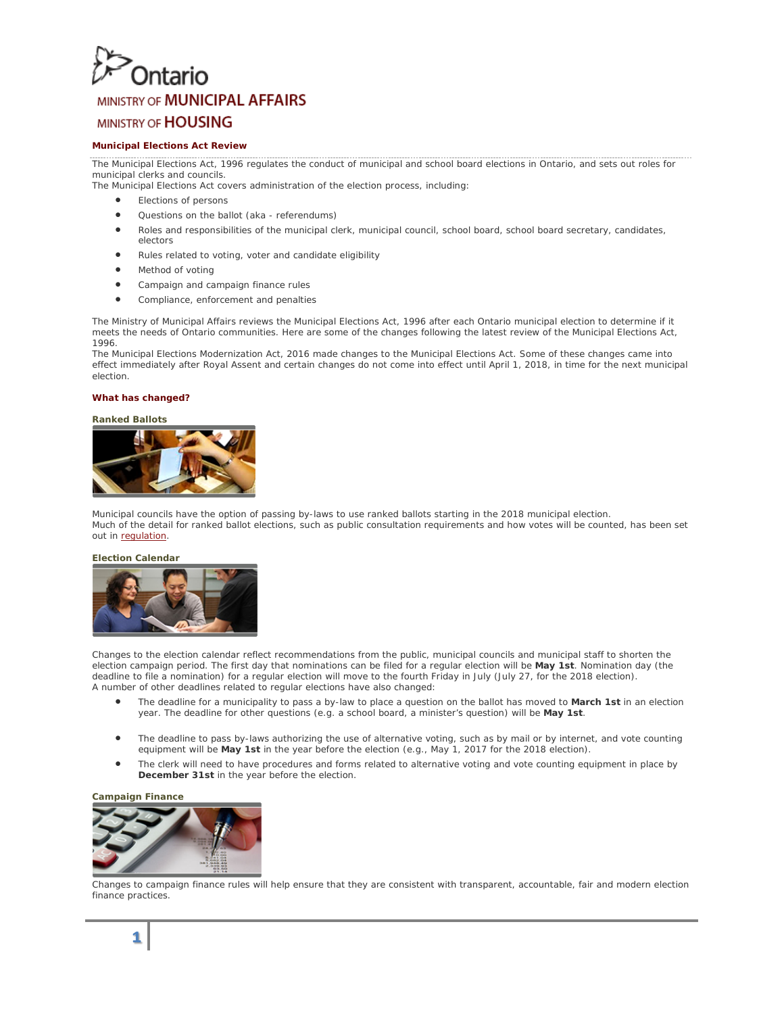# **Intario**

## MINISTRY OF MUNICIPAL AFFAIRS

## **MINISTRY OF HOUSING**

### **Municipal Elections Act Review**

The Municipal Elections Act, 1996 regulates the conduct of municipal and school board elections in Ontario, and sets out roles for municipal clerks and councils.

- The Municipal Elections Act covers administration of the election process, including:
	- Elections of persons
	- Questions on the ballot (aka referendums)
	- Roles and responsibilities of the municipal clerk, municipal council, school board, school board secretary, candidates, electors
	- Rules related to voting, voter and candidate eligibility
	- Method of voting
	- Campaign and campaign finance rules
	- Compliance, enforcement and penalties

The Ministry of Municipal Affairs reviews the Municipal Elections Act, 1996 after each Ontario municipal election to determine if it meets the needs of Ontario communities. Here are some of the changes following the latest review of the Municipal Elections Act, 1996.

The Municipal Elections Modernization Act, 2016 made changes to the Municipal Elections Act. Some of these changes came into effect immediately after Royal Assent and certain changes do not come into effect until April 1, 2018, in time for the next municipal election.

#### **What has changed?**

#### **Ranked Ballots**



Municipal councils have the option of passing by-laws to use ranked ballots starting in the 2018 municipal election. Much of the detail for ranked ballot elections, such as public consultation requirements and how votes will be counted, has been set out i[n regulation.](https://www.ontario.ca/laws/regulation/160310)

#### **Election Calendar**



Changes to the election calendar reflect recommendations from the public, municipal councils and municipal staff to shorten the election campaign period. The first day that nominations can be filed for a regular election will be **May 1st**. Nomination day (the deadline to file a nomination) for a regular election will move to the fourth Friday in July (July 27, for the 2018 election). A number of other deadlines related to regular elections have also changed:

- The deadline for a municipality to pass a by-law to place a question on the ballot has moved to **March 1st** in an election year. The deadline for other questions (e.g. a school board, a minister's question) will be **May 1st**.
- The deadline to pass by-laws authorizing the use of alternative voting, such as by mail or by internet, and vote counting equipment will be **May 1st** in the year before the election (e.g., May 1, 2017 for the 2018 election).
- The clerk will need to have procedures and forms related to alternative voting and vote counting equipment in place by **December 31st** in the year before the election.

#### **Campaign Finance**



Changes to campaign finance rules will help ensure that they are consistent with transparent, accountable, fair and modern election finance practices.

## **1**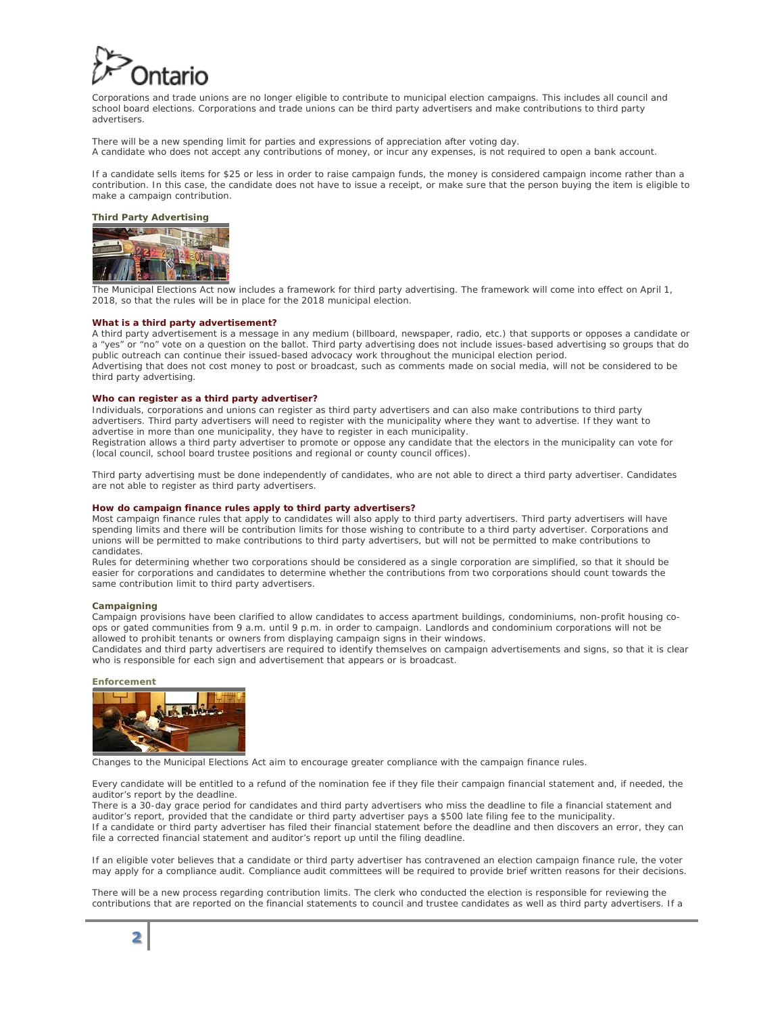Corporations and trade unions are no longer eligible to contribute to municipal election campaigns. This includes all council and school board elections. Corporations and trade unions can be third party advertisers and make contributions to third party advertisers.

There will be a new spending limit for parties and expressions of appreciation after voting day. A candidate who does not accept any contributions of money, or incur any expenses, is not required to open a bank account.

If a candidate sells items for \$25 or less in order to raise campaign funds, the money is considered campaign income rather than a contribution. In this case, the candidate does not have to issue a receipt, or make sure that the person buying the item is eligible to make a campaign contribution.

#### **Third Party Advertising**



The Municipal Elections Act now includes a framework for third party advertising. The framework will come into effect on April 1, 2018, so that the rules will be in place for the 2018 municipal election.

#### **What is a third party advertisement?**

A third party advertisement is a message in any medium (billboard, newspaper, radio, etc.) that supports or opposes a candidate or a "yes" or "no" vote on a question on the ballot. Third party advertising does not include issues-based advertising so groups that do public outreach can continue their issued-based advocacy work throughout the municipal election period. Advertising that does not cost money to post or broadcast, such as comments made on social media, will not be considered to be third party advertising.

#### **Who can register as a third party advertiser?**

Individuals, corporations and unions can register as third party advertisers and can also make contributions to third party advertisers. Third party advertisers will need to register with the municipality where they want to advertise. If they want to advertise in more than one municipality, they have to register in each municipality.

Registration allows a third party advertiser to promote or oppose any candidate that the electors in the municipality can vote for (local council, school board trustee positions and regional or county council offices).

Third party advertising must be done independently of candidates, who are not able to direct a third party advertiser. Candidates are not able to register as third party advertisers.

#### **How do campaign finance rules apply to third party advertisers?**

Most campaign finance rules that apply to candidates will also apply to third party advertisers. Third party advertisers will have spending limits and there will be contribution limits for those wishing to contribute to a third party advertiser. Corporations and unions will be permitted to make contributions to third party advertisers, but will not be permitted to make contributions to candidates.

Rules for determining whether two corporations should be considered as a single corporation are simplified, so that it should be easier for corporations and candidates to determine whether the contributions from two corporations should count towards the same contribution limit to third party advertisers.

#### **Campaigning**

Campaign provisions have been clarified to allow candidates to access apartment buildings, condominiums, non-profit housing coops or gated communities from 9 a.m. until 9 p.m. in order to campaign. Landlords and condominium corporations will not be allowed to prohibit tenants or owners from displaying campaign signs in their windows.

Candidates and third party advertisers are required to identify themselves on campaign advertisements and signs, so that it is clear who is responsible for each sign and advertisement that appears or is broadcast.

#### **Enforcement**



Changes to the Municipal Elections Act aim to encourage greater compliance with the campaign finance rules.

Every candidate will be entitled to a refund of the nomination fee if they file their campaign financial statement and, if needed, the auditor's report by the deadline.

There is a 30-day grace period for candidates and third party advertisers who miss the deadline to file a financial statement and auditor's report, provided that the candidate or third party advertiser pays a \$500 late filing fee to the municipality. If a candidate or third party advertiser has filed their financial statement before the deadline and then discovers an error, they can file a corrected financial statement and auditor's report up until the filing deadline.

If an eligible voter believes that a candidate or third party advertiser has contravened an election campaign finance rule, the voter may apply for a compliance audit. Compliance audit committees will be required to provide brief written reasons for their decisions.

There will be a new process regarding contribution limits. The clerk who conducted the election is responsible for reviewing the contributions that are reported on the financial statements to council and trustee candidates as well as third party advertisers. If a